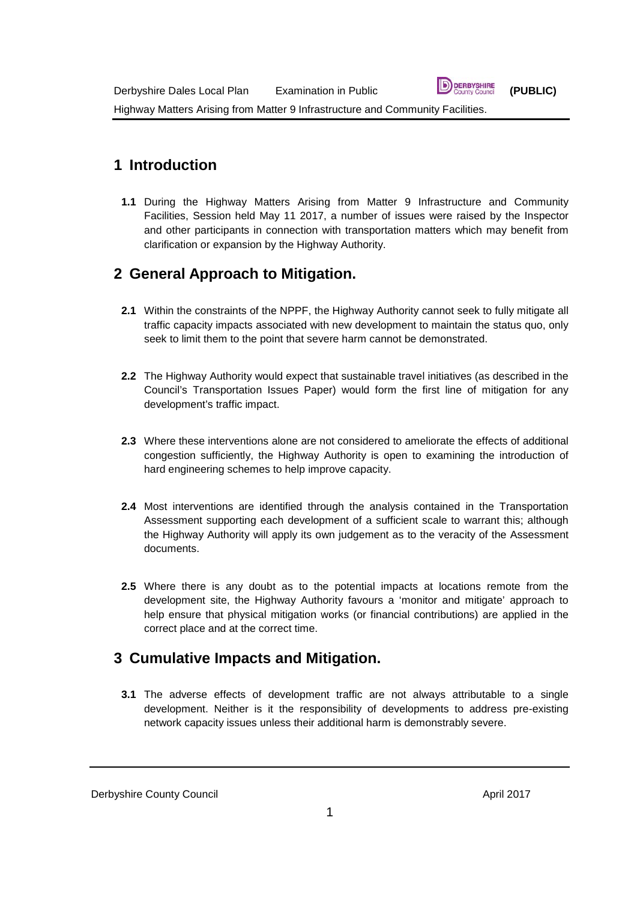### **1 Introduction**

**1.1** During the Highway Matters Arising from Matter 9 Infrastructure and Community Facilities, Session held May 11 2017, a number of issues were raised by the Inspector and other participants in connection with transportation matters which may benefit from clarification or expansion by the Highway Authority.

# **2 General Approach to Mitigation.**

- **2.1** Within the constraints of the NPPF, the Highway Authority cannot seek to fully mitigate all traffic capacity impacts associated with new development to maintain the status quo, only seek to limit them to the point that severe harm cannot be demonstrated.
- **2.2** The Highway Authority would expect that sustainable travel initiatives (as described in the Council's Transportation Issues Paper) would form the first line of mitigation for any development's traffic impact.
- **2.3** Where these interventions alone are not considered to ameliorate the effects of additional congestion sufficiently, the Highway Authority is open to examining the introduction of hard engineering schemes to help improve capacity.
- **2.4** Most interventions are identified through the analysis contained in the Transportation Assessment supporting each development of a sufficient scale to warrant this; although the Highway Authority will apply its own judgement as to the veracity of the Assessment documents.
- **2.5** Where there is any doubt as to the potential impacts at locations remote from the development site, the Highway Authority favours a 'monitor and mitigate' approach to help ensure that physical mitigation works (or financial contributions) are applied in the correct place and at the correct time.

# **3 Cumulative Impacts and Mitigation.**

**3.1** The adverse effects of development traffic are not always attributable to a single development. Neither is it the responsibility of developments to address pre-existing network capacity issues unless their additional harm is demonstrably severe.

#### Derbyshire County Council and the control of the country Council April 2017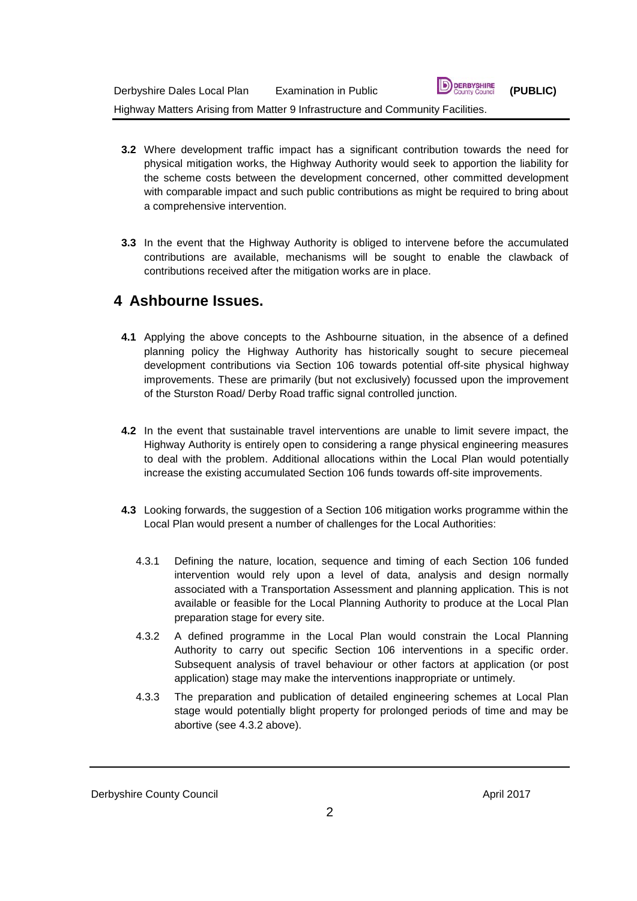| Derbyshire Dales Local Plan                                                    | Examination in Public | <b>D</b> DERBYSHIRE | (PUBLIC) |
|--------------------------------------------------------------------------------|-----------------------|---------------------|----------|
| Highway Matters Arising from Matter 9 Infrastructure and Community Facilities. |                       |                     |          |

**3.2** Where development traffic impact has a significant contribution towards the need for physical mitigation works, the Highway Authority would seek to apportion the liability for the scheme costs between the development concerned, other committed development with comparable impact and such public contributions as might be required to bring about a comprehensive intervention.

 $\blacksquare$ 

**3.3** In the event that the Highway Authority is obliged to intervene before the accumulated contributions are available, mechanisms will be sought to enable the clawback of contributions received after the mitigation works are in place.

### **4 Ashbourne Issues.**

- **4.1** Applying the above concepts to the Ashbourne situation, in the absence of a defined planning policy the Highway Authority has historically sought to secure piecemeal development contributions via Section 106 towards potential off-site physical highway improvements. These are primarily (but not exclusively) focussed upon the improvement of the Sturston Road/ Derby Road traffic signal controlled junction.
- **4.2** In the event that sustainable travel interventions are unable to limit severe impact, the Highway Authority is entirely open to considering a range physical engineering measures to deal with the problem. Additional allocations within the Local Plan would potentially increase the existing accumulated Section 106 funds towards off-site improvements.
- **4.3** Looking forwards, the suggestion of a Section 106 mitigation works programme within the Local Plan would present a number of challenges for the Local Authorities:
	- 4.3.1 Defining the nature, location, sequence and timing of each Section 106 funded intervention would rely upon a level of data, analysis and design normally associated with a Transportation Assessment and planning application. This is not available or feasible for the Local Planning Authority to produce at the Local Plan preparation stage for every site.
	- 4.3.2 A defined programme in the Local Plan would constrain the Local Planning Authority to carry out specific Section 106 interventions in a specific order. Subsequent analysis of travel behaviour or other factors at application (or post application) stage may make the interventions inappropriate or untimely.
	- 4.3.3 The preparation and publication of detailed engineering schemes at Local Plan stage would potentially blight property for prolonged periods of time and may be abortive (see 4.3.2 above).

#### Derbyshire County Council and the Council April 2017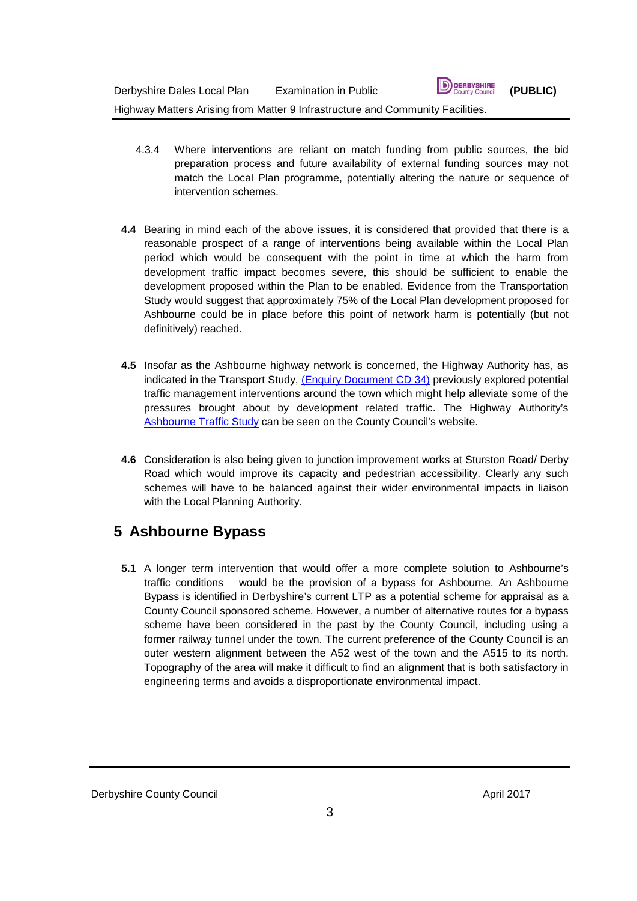- 4.3.4 Where interventions are reliant on match funding from public sources, the bid preparation process and future availability of external funding sources may not match the Local Plan programme, potentially altering the nature or sequence of intervention schemes.
- **4.4** Bearing in mind each of the above issues, it is considered that provided that there is a reasonable prospect of a range of interventions being available within the Local Plan period which would be consequent with the point in time at which the harm from development traffic impact becomes severe, this should be sufficient to enable the development proposed within the Plan to be enabled. Evidence from the Transportation Study would suggest that approximately 75% of the Local Plan development proposed for Ashbourne could be in place before this point of network harm is potentially (but not definitively) reached.
- **4.5** Insofar as the Ashbourne highway network is concerned, the Highway Authority has, as indicated in the Transport Study, [\(Enquiry Document CD 34\)](http://www.derbyshiredales.gov.uk/planning-a-building-control/local-plan-2015-16/local-plan-examination/examination-library) previously explored potential traffic management interventions around the town which might help alleviate some of the pressures brought about by development related traffic. The Highway Authority's [Ashbourne Traffic Study](http://www.derbyshire.gov.uk/transport_roads/transport_plans/transport_studies/ashbourne_traffic_study/default.asp) can be seen on the County Council's website.
- **4.6** Consideration is also being given to junction improvement works at Sturston Road/ Derby Road which would improve its capacity and pedestrian accessibility. Clearly any such schemes will have to be balanced against their wider environmental impacts in liaison with the Local Planning Authority.

# **5 Ashbourne Bypass**

**5.1** A longer term intervention that would offer a more complete solution to Ashbourne's traffic conditions would be the provision of a bypass for Ashbourne. An Ashbourne Bypass is identified in Derbyshire's current LTP as a potential scheme for appraisal as a County Council sponsored scheme. However, a number of alternative routes for a bypass scheme have been considered in the past by the County Council, including using a former railway tunnel under the town. The current preference of the County Council is an outer western alignment between the A52 west of the town and the A515 to its north. Topography of the area will make it difficult to find an alignment that is both satisfactory in engineering terms and avoids a disproportionate environmental impact.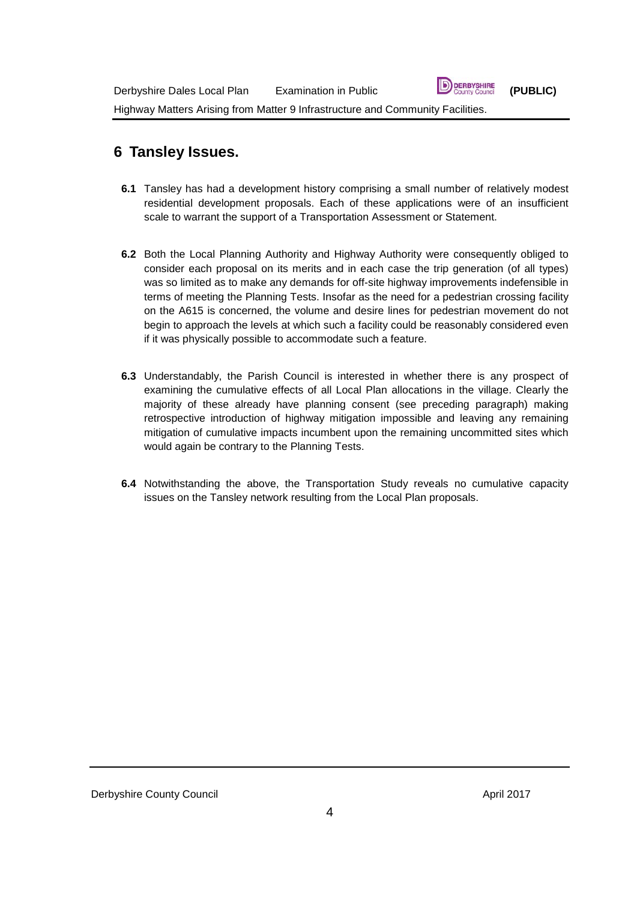# **6 Tansley Issues.**

- **6.1** Tansley has had a development history comprising a small number of relatively modest residential development proposals. Each of these applications were of an insufficient scale to warrant the support of a Transportation Assessment or Statement.
- **6.2** Both the Local Planning Authority and Highway Authority were consequently obliged to consider each proposal on its merits and in each case the trip generation (of all types) was so limited as to make any demands for off-site highway improvements indefensible in terms of meeting the Planning Tests. Insofar as the need for a pedestrian crossing facility on the A615 is concerned, the volume and desire lines for pedestrian movement do not begin to approach the levels at which such a facility could be reasonably considered even if it was physically possible to accommodate such a feature.
- **6.3** Understandably, the Parish Council is interested in whether there is any prospect of examining the cumulative effects of all Local Plan allocations in the village. Clearly the majority of these already have planning consent (see preceding paragraph) making retrospective introduction of highway mitigation impossible and leaving any remaining mitigation of cumulative impacts incumbent upon the remaining uncommitted sites which would again be contrary to the Planning Tests.
- **6.4** Notwithstanding the above, the Transportation Study reveals no cumulative capacity issues on the Tansley network resulting from the Local Plan proposals.